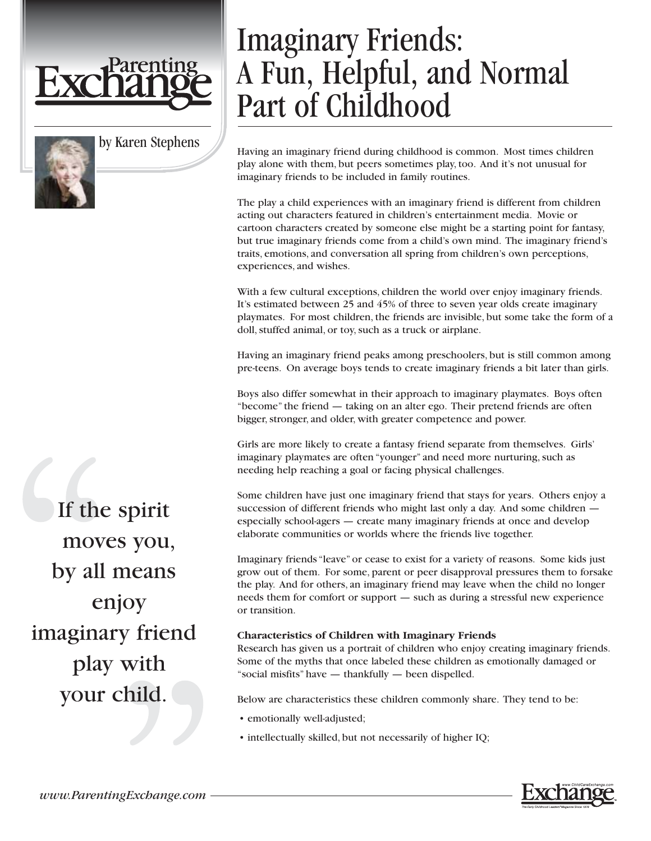

by Karen Stephens

# Imaginary Friends: A Fun, Helpful, and Normal Part of Childhood

Having an imaginary friend during childhood is common. Most times children play alone with them, but peers sometimes play, too. And it's not unusual for imaginary friends to be included in family routines.

The play a child experiences with an imaginary friend is different from children acting out characters featured in children's entertainment media. Movie or cartoon characters created by someone else might be a starting point for fantasy, but true imaginary friends come from a child's own mind. The imaginary friend's traits, emotions, and conversation all spring from children's own perceptions, experiences, and wishes.

With a few cultural exceptions, children the world over enjoy imaginary friends. It's estimated between 25 and 45% of three to seven year olds create imaginary playmates. For most children, the friends are invisible, but some take the form of a doll, stuffed animal, or toy, such as a truck or airplane.

Having an imaginary friend peaks among preschoolers, but is still common among pre-teens. On average boys tends to create imaginary friends a bit later than girls.

Boys also differ somewhat in their approach to imaginary playmates. Boys often "become" the friend — taking on an alter ego. Their pretend friends are often bigger, stronger, and older, with greater competence and power.

Girls are more likely to create a fantasy friend separate from themselves. Girls' imaginary playmates are often "younger" and need more nurturing, such as needing help reaching a goal or facing physical challenges.

Some children have just one imaginary friend that stays for years. Others enjoy a succession of different friends who might last only a day. And some children especially school-agers — create many imaginary friends at once and develop elaborate communities or worlds where the friends live together.

Imaginary friends "leave" or cease to exist for a variety of reasons. Some kids just grow out of them. For some, parent or peer disapproval pressures them to forsake the play. And for others, an imaginary friend may leave when the child no longer needs them for comfort or support — such as during a stressful new experience or transition.

#### **Characteristics of Children with Imaginary Friends**

Research has given us a portrait of children who enjoy creating imaginary friends. Some of the myths that once labeled these children as emotionally damaged or "social misfits" have — thankfully — been dispelled.

Below are characteristics these children commonly share. They tend to be:

- emotionally well-adjusted;
- intellectually skilled, but not necessarily of higher IQ;

If the spirit moves you, by all means enjoy imaginary friend play with your child.

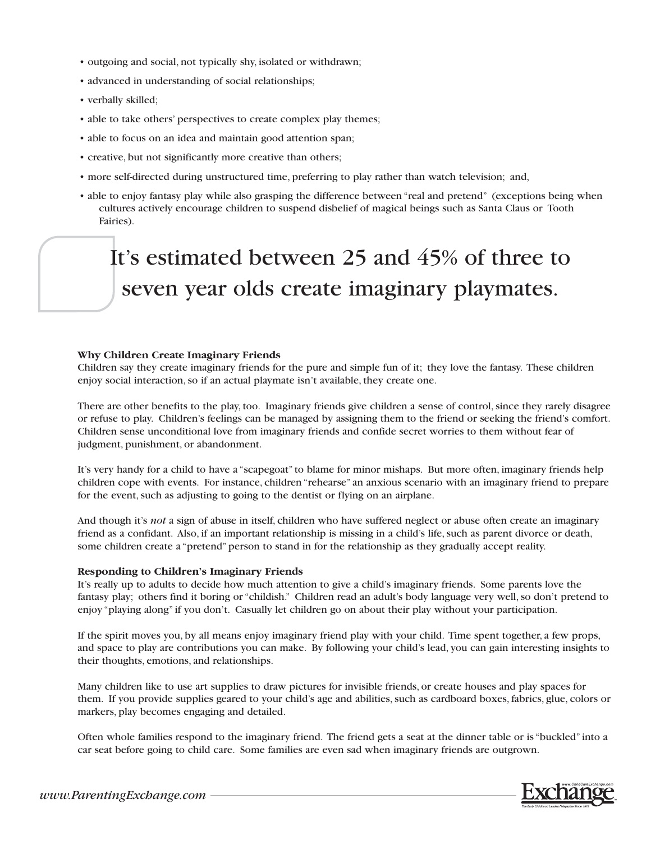- outgoing and social, not typically shy, isolated or withdrawn;
- advanced in understanding of social relationships;
- verbally skilled;
- able to take others' perspectives to create complex play themes;
- able to focus on an idea and maintain good attention span;
- creative, but not significantly more creative than others;
- more self-directed during unstructured time, preferring to play rather than watch television; and,
- able to enjoy fantasy play while also grasping the difference between "real and pretend" (exceptions being when cultures actively encourage children to suspend disbelief of magical beings such as Santa Claus or Tooth Fairies).

## It's estimated between 25 and 45% of three to seven year olds create imaginary playmates.

#### **Why Children Create Imaginary Friends**

Children say they create imaginary friends for the pure and simple fun of it; they love the fantasy. These children enjoy social interaction, so if an actual playmate isn't available, they create one.

There are other benefits to the play, too. Imaginary friends give children a sense of control, since they rarely disagree or refuse to play. Children's feelings can be managed by assigning them to the friend or seeking the friend's comfort. Children sense unconditional love from imaginary friends and confide secret worries to them without fear of judgment, punishment, or abandonment.

It's very handy for a child to have a "scapegoat" to blame for minor mishaps. But more often, imaginary friends help children cope with events. For instance, children "rehearse" an anxious scenario with an imaginary friend to prepare for the event, such as adjusting to going to the dentist or flying on an airplane.

And though it's *not* a sign of abuse in itself, children who have suffered neglect or abuse often create an imaginary friend as a confidant. Also, if an important relationship is missing in a child's life, such as parent divorce or death, some children create a "pretend" person to stand in for the relationship as they gradually accept reality.

#### **Responding to Children's Imaginary Friends**

It's really up to adults to decide how much attention to give a child's imaginary friends. Some parents love the fantasy play; others find it boring or "childish." Children read an adult's body language very well, so don't pretend to enjoy "playing along" if you don't. Casually let children go on about their play without your participation.

If the spirit moves you, by all means enjoy imaginary friend play with your child. Time spent together, a few props, and space to play are contributions you can make. By following your child's lead, you can gain interesting insights to their thoughts, emotions, and relationships.

Many children like to use art supplies to draw pictures for invisible friends, or create houses and play spaces for them. If you provide supplies geared to your child's age and abilities, such as cardboard boxes, fabrics, glue, colors or markers, play becomes engaging and detailed.

Often whole families respond to the imaginary friend. The friend gets a seat at the dinner table or is "buckled" into a car seat before going to child care. Some families are even sad when imaginary friends are outgrown.